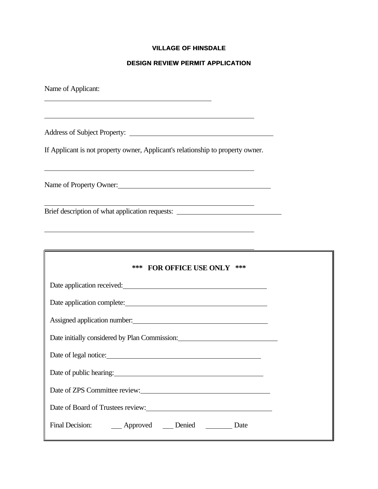## **VILLAGE OF HINSDALE**

# **DESIGN REVIEW PERMIT APPLICATION**

| Name of Applicant:                                                                                                                                                                                                                     |  |  |  |  |
|----------------------------------------------------------------------------------------------------------------------------------------------------------------------------------------------------------------------------------------|--|--|--|--|
|                                                                                                                                                                                                                                        |  |  |  |  |
| If Applicant is not property owner, Applicant's relationship to property owner.                                                                                                                                                        |  |  |  |  |
| Name of Property Owner:                                                                                                                                                                                                                |  |  |  |  |
| <u> 1989 - Johann Barn, amerikansk politiker (d. 1989)</u><br>Brief description of what application requests: ________________________________                                                                                         |  |  |  |  |
|                                                                                                                                                                                                                                        |  |  |  |  |
| *** FOR OFFICE USE ONLY ***                                                                                                                                                                                                            |  |  |  |  |
| Date application received:<br><u>Letter and the set of the set of the set of the set of the set of the set of the set of the set of the set of the set of the set of the set of the set of the set of the set of the set of the se</u> |  |  |  |  |
| Date application complete:                                                                                                                                                                                                             |  |  |  |  |
|                                                                                                                                                                                                                                        |  |  |  |  |
| Date initially considered by Plan Commission: National Assembly Plan Commission:                                                                                                                                                       |  |  |  |  |
| Date of legal notice:                                                                                                                                                                                                                  |  |  |  |  |
| Date of public hearing: 1993                                                                                                                                                                                                           |  |  |  |  |
|                                                                                                                                                                                                                                        |  |  |  |  |
| Date of Board of Trustees review:<br><u>Date of Board of Trustees review:</u>                                                                                                                                                          |  |  |  |  |
| Final Decision: ______ Approved ______ Denied __________ Date                                                                                                                                                                          |  |  |  |  |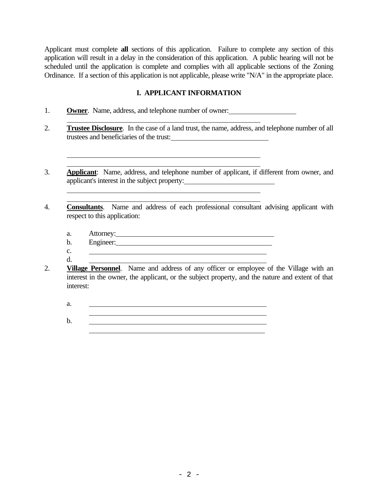Applicant must complete **all** sections of this application. Failure to complete any section of this application will result in a delay in the consideration of this application. A public hearing will not be scheduled until the application is complete and complies with all applicable sections of the Zoning Ordinance. If a section of this application is not applicable, please write "N/A" in the appropriate place.

## **I. APPLICANT INFORMATION**

1. **Owner**. Name, address, and telephone number of owner:

<u> 1989 - Johann Barn, mars ann an t-Amhain an t-Amhain an t-Amhain an t-Amhain an t-Amhain an t-Amhain an t-Amh</u>

- 2. **Trustee Disclosure**. In the case of a land trust, the name, address, and telephone number of all trustees and beneficiaries of the trust:
- 3. **Applicant**: Name, address, and telephone number of applicant, if different from owner, and applicant's interest in the subject property:
- 4. **Consultants**. Name and address of each professional consultant advising applicant with respect to this application:
	- a. Attorney:
	- b. Engineer:
	- c.
	- d.

 $\overline{a}$ 

- 2. **Village Personnel**. Name and address of any officer or employee of the Village with an interest in the owner, the applicant, or the subject property, and the nature and extent of that interest:
	- a.

b.

 $\overline{a}$ 

 $\overline{a}$  $\overline{a}$ 

 $\overline{a}$  $\overline{a}$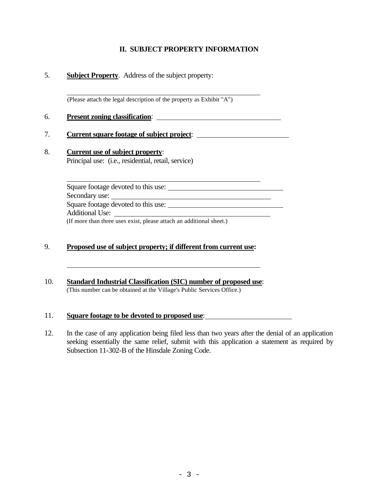# **II. SUBJECT PROPERTY INFORMATION**

## 5. **Subject Property**. Address of the subject property:

 $\overline{a}$ (Please attach the legal description of the property as Exhibit "A")

6. **Present zoning classification**:

#### 7. **Current square footage of subject project**:

8. **Current use of subject property**: Principal use: (i.e., residential, retail, service)

> Square footage devoted to this use: Secondary use:

Square footage devoted to this use:

Additional Use:

 $\overline{a}$ 

 $\overline{a}$ 

(If more than three uses exist, please attach an additional sheet.)

## 9. **Proposed use of subject property; if different from current use:**

10. **Standard Industrial Classification (SIC) number of proposed use**: (This number can be obtained at the Village's Public Services Office.)

#### 11. **Square footage to be devoted to proposed use**:

12. In the case of any application being filed less than two years after the denial of an application seeking essentially the same relief, submit with this application a statement as required by Subsection 11-302-B of the Hinsdale Zoning Code.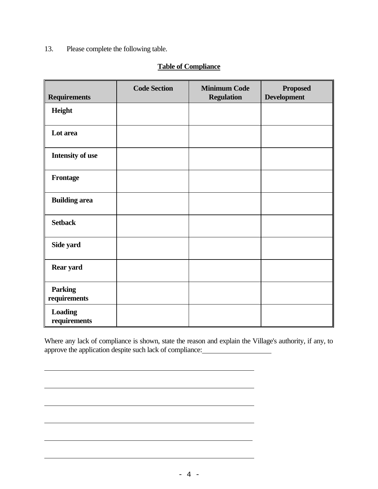# 13. Please complete the following table.

 $\overline{a}$ 

 $\overline{a}$ 

 $\overline{a}$ 

 $\overline{a}$ 

# **Table of Compliance**

| <b>Requirements</b>            | <b>Code Section</b> | <b>Minimum Code</b><br><b>Regulation</b> | <b>Proposed</b><br><b>Development</b> |
|--------------------------------|---------------------|------------------------------------------|---------------------------------------|
| Height                         |                     |                                          |                                       |
| Lot area                       |                     |                                          |                                       |
| Intensity of use               |                     |                                          |                                       |
| <b>Frontage</b>                |                     |                                          |                                       |
| <b>Building area</b>           |                     |                                          |                                       |
| <b>Setback</b>                 |                     |                                          |                                       |
| Side yard                      |                     |                                          |                                       |
| <b>Rear yard</b>               |                     |                                          |                                       |
| <b>Parking</b><br>requirements |                     |                                          |                                       |
| <b>Loading</b><br>requirements |                     |                                          |                                       |

Where any lack of compliance is shown, state the reason and explain the Village's authority, if any, to approve the application despite such lack of compliance:

<u> 1989 - Johann Stoff, deutscher Stoffen und der Stoffen und der Stoffen und der Stoffen und der Stoffen und der</u>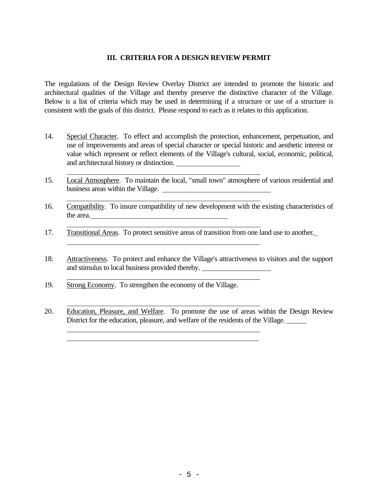## **III. CRITERIA FOR A DESIGN REVIEW PERMIT**

The regulations of the Design Review Overlay District are intended to promote the historic and architectural qualities of the Village and thereby preserve the distinctive character of the Village. Below is a list of criteria which may be used in determining if a structure or use of a structure is consistent with the goals of this district. Please respond to each as it relates to this application.

- 14. Special Character. To effect and accomplish the protection, enhancement, perpetuation, and use of improvements and areas of special character or special historic and aesthetic interest or value which represent or reflect elements of the Village's cultural, social, economic, political, and architectural history or distinction.
- 15. Local Atmosphere. To maintain the local, "small town" atmosphere of various residential and business areas within the Village.
- 16. Compatibility. To insure compatibility of new development with the existing characteristics of the area.
- 17. Transitional Areas. To protect sensitive areas of transition from one land use to another.
- 18. Attractiveness. To protect and enhance the Village's attractiveness to visitors and the support and stimulus to local business provided thereby.
- 19. Strong Economy. To strengthen the economy of the Village.

 $\overline{a}$ 

 $\overline{a}$ 

 $\overline{a}$ 

 $\overline{a}$ 

 $\overline{a}$ 

 $\overline{a}$ 

 $\overline{a}$  $\overline{a}$ 

20. Education, Pleasure, and Welfare. To promote the use of areas within the Design Review District for the education, pleasure, and welfare of the residents of the Village.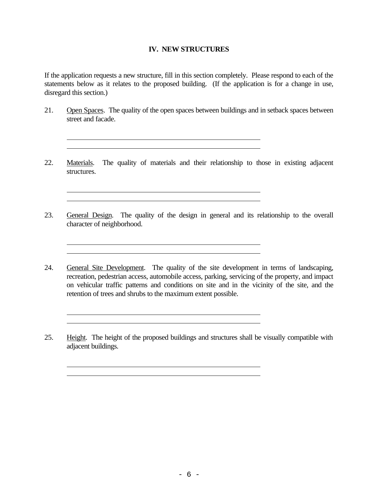#### **IV. NEW STRUCTURES**

If the application requests a new structure, fill in this section completely. Please respond to each of the statements below as it relates to the proposed building. (If the application is for a change in use, disregard this section.)

21. Open Spaces. The quality of the open spaces between buildings and in setback spaces between street and facade.

 $\overline{a}$ 

 $\overline{a}$  $\overline{a}$ 

 $\overline{a}$  $\overline{a}$ 

 $\overline{a}$  $\overline{a}$ 

 $\overline{a}$ 

22. Materials. The quality of materials and their relationship to those in existing adjacent structures.

<u> 1980 - Johann Barbara, martxa alemaniar arg</u>

<u> 1980 - Johann Barbara, martxa amerikan bashkar (</u>

- 23. General Design. The quality of the design in general and its relationship to the overall character of neighborhood.
- 24. General Site Development. The quality of the site development in terms of landscaping, recreation, pedestrian access, automobile access, parking, servicing of the property, and impact on vehicular traffic patterns and conditions on site and in the vicinity of the site, and the retention of trees and shrubs to the maximum extent possible.
- 25. Height. The height of the proposed buildings and structures shall be visually compatible with adjacent buildings.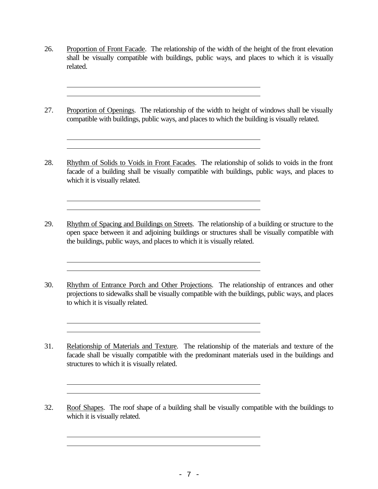26. Proportion of Front Facade. The relationship of the width of the height of the front elevation shall be visually compatible with buildings, public ways, and places to which it is visually related.

 $\overline{a}$  $\overline{a}$ 

 $\overline{a}$  $\overline{a}$ 

 $\overline{a}$  $\overline{a}$ 

 $\overline{a}$  $\overline{a}$ 

 $\overline{a}$  $\overline{a}$ 

 $\overline{a}$  $\overline{a}$ 

 $\overline{a}$  $\overline{a}$ 

27. Proportion of Openings. The relationship of the width to height of windows shall be visually compatible with buildings, public ways, and places to which the building is visually related.

28. Rhythm of Solids to Voids in Front Facades. The relationship of solids to voids in the front facade of a building shall be visually compatible with buildings, public ways, and places to which it is visually related.

29. Rhythm of Spacing and Buildings on Streets. The relationship of a building or structure to the open space between it and adjoining buildings or structures shall be visually compatible with the buildings, public ways, and places to which it is visually related.

30. Rhythm of Entrance Porch and Other Projections. The relationship of entrances and other projections to sidewalks shall be visually compatible with the buildings, public ways, and places to which it is visually related.

31. Relationship of Materials and Texture. The relationship of the materials and texture of the facade shall be visually compatible with the predominant materials used in the buildings and structures to which it is visually related.

32. Roof Shapes. The roof shape of a building shall be visually compatible with the buildings to which it is visually related.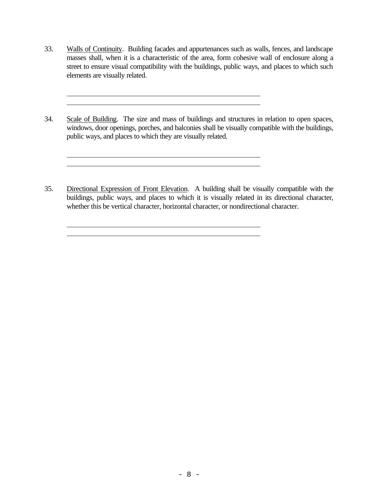33. Walls of Continuity. Building facades and appurtenances such as walls, fences, and landscape masses shall, when it is a characteristic of the area, form cohesive wall of enclosure along a street to ensure visual compatibility with the buildings, public ways, and places to which such elements are visually related.

 $\overline{a}$ 

 $\overline{a}$  $\overline{a}$ 

 $\overline{a}$  $\overline{a}$ 

- 34. Scale of Building. The size and mass of buildings and structures in relation to open spaces, windows, door openings, porches, and balconies shall be visually compatible with the buildings, public ways, and places to which they are visually related.
- 35. Directional Expression of Front Elevation. A building shall be visually compatible with the buildings, public ways, and places to which it is visually related in its directional character, whether this be vertical character, horizontal character, or nondirectional character.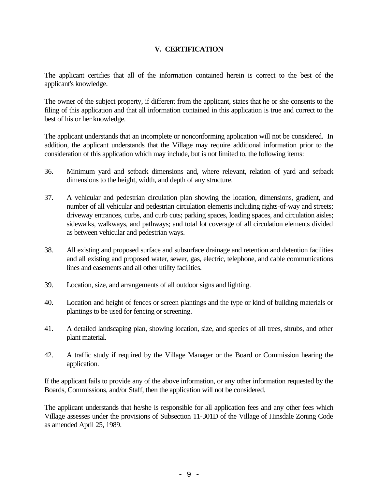# **V. CERTIFICATION**

The applicant certifies that all of the information contained herein is correct to the best of the applicant's knowledge.

The owner of the subject property, if different from the applicant, states that he or she consents to the filing of this application and that all information contained in this application is true and correct to the best of his or her knowledge.

The applicant understands that an incomplete or nonconforming application will not be considered. In addition, the applicant understands that the Village may require additional information prior to the consideration of this application which may include, but is not limited to, the following items:

- 36. Minimum yard and setback dimensions and, where relevant, relation of yard and setback dimensions to the height, width, and depth of any structure.
- 37. A vehicular and pedestrian circulation plan showing the location, dimensions, gradient, and number of all vehicular and pedestrian circulation elements including rights-of-way and streets; driveway entrances, curbs, and curb cuts; parking spaces, loading spaces, and circulation aisles; sidewalks, walkways, and pathways; and total lot coverage of all circulation elements divided as between vehicular and pedestrian ways.
- 38. All existing and proposed surface and subsurface drainage and retention and detention facilities and all existing and proposed water, sewer, gas, electric, telephone, and cable communications lines and easements and all other utility facilities.
- 39. Location, size, and arrangements of all outdoor signs and lighting.
- 40. Location and height of fences or screen plantings and the type or kind of building materials or plantings to be used for fencing or screening.
- 41. A detailed landscaping plan, showing location, size, and species of all trees, shrubs, and other plant material.
- 42. A traffic study if required by the Village Manager or the Board or Commission hearing the application.

If the applicant fails to provide any of the above information, or any other information requested by the Boards, Commissions, and/or Staff, then the application will not be considered.

The applicant understands that he/she is responsible for all application fees and any other fees which Village assesses under the provisions of Subsection 11-301D of the Village of Hinsdale Zoning Code as amended April 25, 1989.